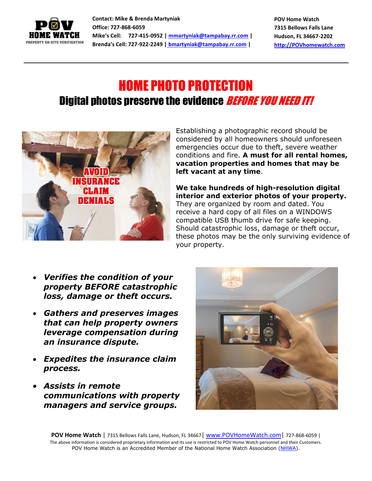

**Contact: Mike & Brenda Martyniak Office: 727-868-6059 Mike's Cell: 727-415-0952 [| mmartyniak@tampabay.rr.com](mailto:mmartyniak@tampabay.rr.com) | Brenda's Cell: 727-922-2249 | [bmartyniak@tampabay.rr.com](mailto:bmartyniak@tampabay.rr.com) |**

**POV Home Watch 7315 Bellows Falls Lane Hudson, FL 34667-2202 [http://POVhomewatch.com](http://povhomewatch.com/)**

## HOME PHOTO PROTECTION Digital photos preserve the evidence **BEFORE YOU NEED IT!**



Establishing a photographic record should be considered by all homeowners should unforeseen emergencies occur due to theft, severe weather conditions and fire. **A must for all rental homes, vacation properties and homes that may be left vacant at any time**.

**We take hundreds of high-resolution digital interior and exterior photos of your property.**  They are organized by room and dated. You receive a hard copy of all files on a WINDOWS compatible USB thumb drive for safe keeping. Should catastrophic loss, damage or theft occur, these photos may be the only surviving evidence of your property.

- *Verifies the condition of your property BEFORE catastrophic loss, damage or theft occurs.*
- *Gathers and preserves images that can help property owners leverage compensation during an insurance dispute.*
- *Expedites the insurance claim process.*
- *Assists in remote communications with property managers and service groups.*



**POV Home Watch** | 7315 Bellows Falls Lane, Hudson, FL 34667 | www.POVHomeWatch.com | 727-868-6059 | The above information is considered proprietary information and its use is restricted to POV Home Watch personnel and their Customers. POV Home Watch is an Accredited Member of the National Home Watch Association [\(NHWA\)](http://www.nationalhomewatchassociation.org/).